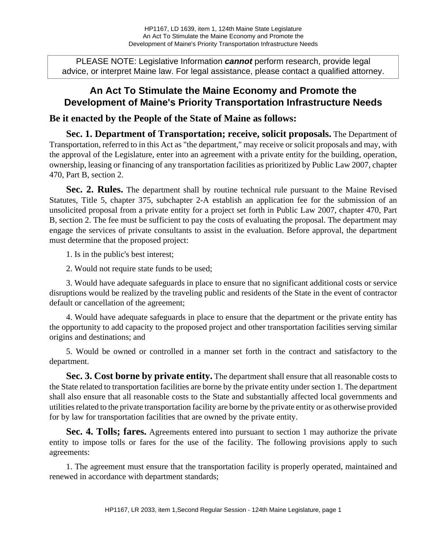PLEASE NOTE: Legislative Information **cannot** perform research, provide legal advice, or interpret Maine law. For legal assistance, please contact a qualified attorney.

## **An Act To Stimulate the Maine Economy and Promote the Development of Maine's Priority Transportation Infrastructure Needs**

## **Be it enacted by the People of the State of Maine as follows:**

**Sec. 1. Department of Transportation; receive, solicit proposals.** The Department of Transportation, referred to in this Act as "the department," may receive or solicit proposals and may, with the approval of the Legislature, enter into an agreement with a private entity for the building, operation, ownership, leasing or financing of any transportation facilities as prioritized by Public Law 2007, chapter 470, Part B, section 2.

**Sec. 2. Rules.** The department shall by routine technical rule pursuant to the Maine Revised Statutes, Title 5, chapter 375, subchapter 2-A establish an application fee for the submission of an unsolicited proposal from a private entity for a project set forth in Public Law 2007, chapter 470, Part B, section 2. The fee must be sufficient to pay the costs of evaluating the proposal. The department may engage the services of private consultants to assist in the evaluation. Before approval, the department must determine that the proposed project:

1. Is in the public's best interest;

2. Would not require state funds to be used;

3. Would have adequate safeguards in place to ensure that no significant additional costs or service disruptions would be realized by the traveling public and residents of the State in the event of contractor default or cancellation of the agreement;

4. Would have adequate safeguards in place to ensure that the department or the private entity has the opportunity to add capacity to the proposed project and other transportation facilities serving similar origins and destinations; and

5. Would be owned or controlled in a manner set forth in the contract and satisfactory to the department.

**Sec. 3. Cost borne by private entity.** The department shall ensure that all reasonable costs to the State related to transportation facilities are borne by the private entity under section 1. The department shall also ensure that all reasonable costs to the State and substantially affected local governments and utilities related to the private transportation facility are borne by the private entity or as otherwise provided for by law for transportation facilities that are owned by the private entity.

**Sec. 4. Tolls; fares.** Agreements entered into pursuant to section 1 may authorize the private entity to impose tolls or fares for the use of the facility. The following provisions apply to such agreements:

1. The agreement must ensure that the transportation facility is properly operated, maintained and renewed in accordance with department standards;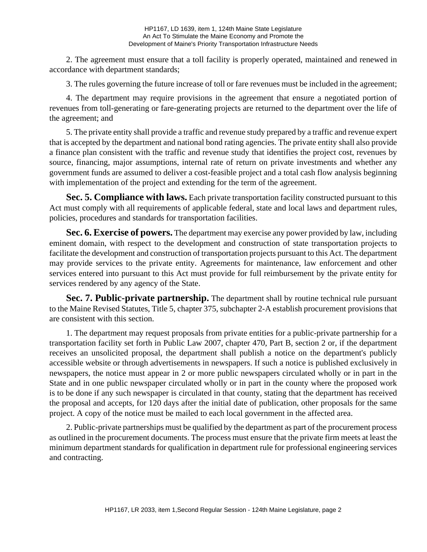2. The agreement must ensure that a toll facility is properly operated, maintained and renewed in accordance with department standards;

3. The rules governing the future increase of toll or fare revenues must be included in the agreement;

4. The department may require provisions in the agreement that ensure a negotiated portion of revenues from toll-generating or fare-generating projects are returned to the department over the life of the agreement; and

5. The private entity shall provide a traffic and revenue study prepared by a traffic and revenue expert that is accepted by the department and national bond rating agencies. The private entity shall also provide a finance plan consistent with the traffic and revenue study that identifies the project cost, revenues by source, financing, major assumptions, internal rate of return on private investments and whether any government funds are assumed to deliver a cost-feasible project and a total cash flow analysis beginning with implementation of the project and extending for the term of the agreement.

**Sec. 5. Compliance with laws.** Each private transportation facility constructed pursuant to this Act must comply with all requirements of applicable federal, state and local laws and department rules, policies, procedures and standards for transportation facilities.

**Sec. 6. Exercise of powers.** The department may exercise any power provided by law, including eminent domain, with respect to the development and construction of state transportation projects to facilitate the development and construction of transportation projects pursuant to this Act. The department may provide services to the private entity. Agreements for maintenance, law enforcement and other services entered into pursuant to this Act must provide for full reimbursement by the private entity for services rendered by any agency of the State.

**Sec. 7. Public-private partnership.** The department shall by routine technical rule pursuant to the Maine Revised Statutes, Title 5, chapter 375, subchapter 2-A establish procurement provisions that are consistent with this section.

1. The department may request proposals from private entities for a public-private partnership for a transportation facility set forth in Public Law 2007, chapter 470, Part B, section 2 or, if the department receives an unsolicited proposal, the department shall publish a notice on the department's publicly accessible website or through advertisements in newspapers. If such a notice is published exclusively in newspapers, the notice must appear in 2 or more public newspapers circulated wholly or in part in the State and in one public newspaper circulated wholly or in part in the county where the proposed work is to be done if any such newspaper is circulated in that county, stating that the department has received the proposal and accepts, for 120 days after the initial date of publication, other proposals for the same project. A copy of the notice must be mailed to each local government in the affected area.

2. Public-private partnerships must be qualified by the department as part of the procurement process as outlined in the procurement documents. The process must ensure that the private firm meets at least the minimum department standards for qualification in department rule for professional engineering services and contracting.